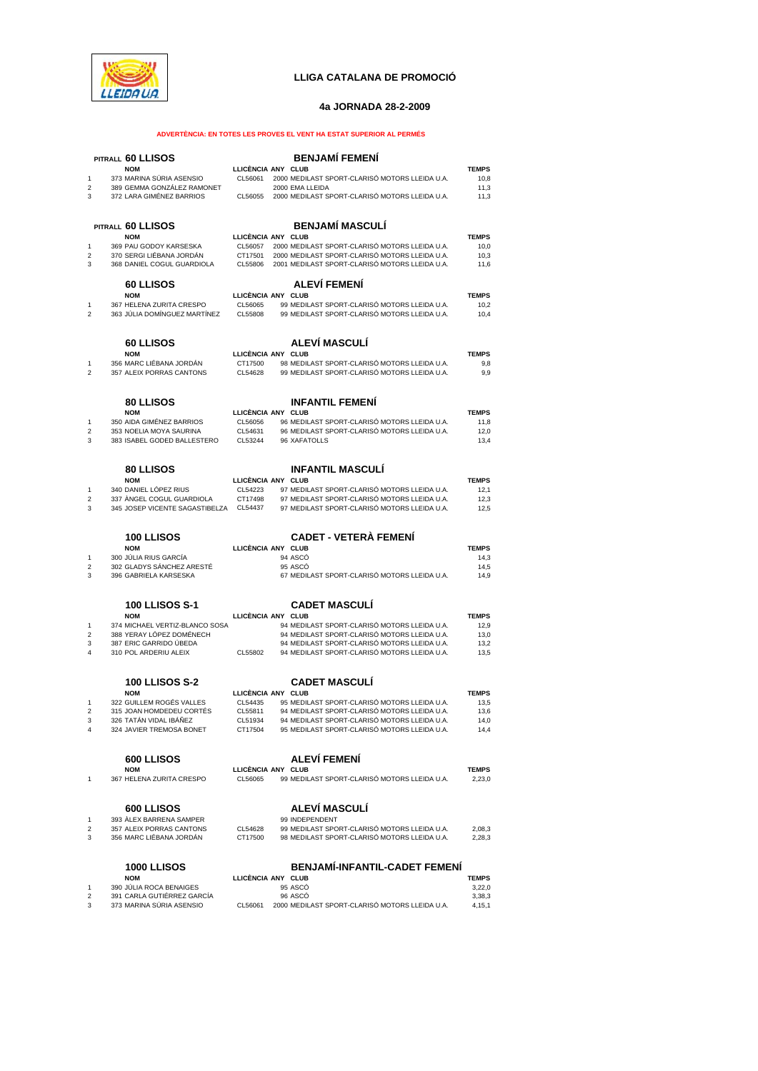

# **LLIGA CATALANA DE PROMOCIÓ**

### **4a JORNADA 28-2-2009**

## **ADVERTÈNCIA: EN TOTES LES PROVES EL VENT HA ESTAT SUPERIOR AL PERMÉS**

|                         | PITRALL 60 LLISOS                                        |                    | <b>BENJAMÍ FEMENÍ</b>                                                                        |                        |
|-------------------------|----------------------------------------------------------|--------------------|----------------------------------------------------------------------------------------------|------------------------|
|                         | <b>NOM</b>                                               | LLICÈNCIA ANY CLUB |                                                                                              | <b>TEMPS</b>           |
| 1                       | 373 MARINA SÚRIA ASENSIO                                 | CL56061            | 2000 MEDILAST SPORT-CLARISÓ MOTORS LLEIDA U.A.                                               | 10,8                   |
| 2                       | 389 GEMMA GONZÁLEZ RAMONET                               |                    | 2000 EMA LLEIDA                                                                              | 11,3                   |
| 3                       | 372 LARA GIMÉNEZ BARRIOS                                 | CL56055            | 2000 MEDILAST SPORT-CLARISÓ MOTORS LLEIDA U.A.                                               | 11,3                   |
|                         |                                                          |                    |                                                                                              |                        |
|                         | PITRALL 60 LLISOS                                        |                    | <b>BENJAMÍ MASCULÍ</b>                                                                       |                        |
|                         | <b>NOM</b>                                               | LLICÈNCIA ANY CLUB |                                                                                              | <b>TEMPS</b>           |
| 1                       | 369 PAU GODOY KARSESKA                                   | CL56057            | 2000 MEDILAST SPORT-CLARISÓ MOTORS LLEIDA U.A.                                               | 10,0                   |
| $\mathfrak{p}$          | 370 SERGI LIÉBANA JORDÁN                                 | CT17501            | 2000 MEDILAST SPORT-CLARISÓ MOTORS LLEIDA U.A.                                               | 10,3                   |
| 3                       | 368 DANIEL COGUL GUARDIOLA                               | CL55806            | 2001 MEDILAST SPORT-CLARISÓ MOTORS LLEIDA U.A.                                               | 11,6                   |
|                         |                                                          |                    |                                                                                              |                        |
|                         | <b>60 LLISOS</b>                                         |                    | ALEVÍ FEMENÍ                                                                                 |                        |
|                         | <b>NOM</b>                                               | LLICÈNCIA ANY CLUB |                                                                                              | <b>TEMPS</b>           |
| 1<br>2                  | 367 HELENA ZURITA CRESPO<br>363 JULIA DOMINGUEZ MARTINEZ | CL56065<br>CL55808 | 99 MEDILAST SPORT-CLARISÓ MOTORS LLEIDA U.A.<br>99 MEDILAST SPORT-CLARISÓ MOTORS LLEIDA U.A. | 10,2<br>10,4           |
|                         |                                                          |                    |                                                                                              |                        |
|                         | 60 LLISOS                                                |                    | <b>ALEVÍ MASCULÍ</b>                                                                         |                        |
|                         | <b>NOM</b>                                               | LLICÊNCIA ANY CLUB |                                                                                              | <b>TEMPS</b>           |
| 1                       | 356 MARC LIÉBANA JORDAN                                  | CT17500            | 98 MEDILAST SPORT-CLARISÓ MOTORS LLEIDA U.A.                                                 | 9,8                    |
| $\overline{\mathbf{c}}$ | 357 ALEIX PORRAS CANTONS                                 | CL54628            | 99 MEDILAST SPORT-CLARISÓ MOTORS LLEIDA U.A.                                                 | 9,9                    |
|                         |                                                          |                    |                                                                                              |                        |
|                         | <b>80 LLISOS</b>                                         |                    | <b>INFANTIL FEMENI</b>                                                                       |                        |
|                         | <b>NOM</b>                                               | LLICÈNCIA ANY CLUB |                                                                                              | <b>TEMPS</b>           |
| 1                       | 350 AIDA GIMÉNEZ BARRIOS                                 | CL56056            | 96 MEDILAST SPORT-CLARISÓ MOTORS LLEIDA U.A.                                                 | 11,8                   |
| 2                       | 353 NOELIA MOYA SAURINA                                  | CL54631            | 96 MEDILAST SPORT-CLARISÓ MOTORS LLEIDA U.A.                                                 | 12,0                   |
| 3                       | 383 ISABEL GODED BALLESTERO                              | CL53244            | 96 XAFATOLLS                                                                                 | 13,4                   |
|                         |                                                          |                    |                                                                                              |                        |
|                         | <b>80 LLISOS</b>                                         |                    | <b>INFANTIL MASCULÍ</b>                                                                      |                        |
|                         | <b>NOM</b>                                               | LLICÊNCIA ANY CLUB |                                                                                              | <b>TEMPS</b>           |
| 1                       | 340 DANIEL LÓPEZ RIUS                                    | CL54223            | 97 MEDILAST SPORT-CLARISÓ MOTORS LLEIDA U.A.                                                 | 12,1                   |
| 2                       | 337 ÀNGEL COGUL GUARDIOLA                                | CT17498            | 97 MEDILAST SPORT-CLARISÓ MOTORS LLEIDA U.A.                                                 | 12,3                   |
| 3                       | 345 JOSEP VICENTE SAGASTIBELZA                           | CL54437            | 97 MEDILAST SPORT-CLARISÓ MOTORS LLEIDA U.A.                                                 | 12,5                   |
|                         |                                                          |                    |                                                                                              |                        |
|                         | <b>100 LLISOS</b>                                        |                    | <b>CADET - VETERÀ FEMENÍ</b>                                                                 |                        |
|                         | <b>NOM</b>                                               | LLICÈNCIA ANY CLUB |                                                                                              | <b>TEMPS</b>           |
| 1                       | 300 JÚLIA RIUS GARCÍA                                    |                    | 94 ASCO                                                                                      | 14,3                   |
| $\overline{\mathbf{c}}$ | 302 GLADYS SÁNCHEZ ARESTÉ                                |                    | 95 ASCO                                                                                      | 14,5                   |
| 3                       | 396 GABRIELA KARSESKA                                    |                    | 67 MEDILAST SPORT-CLARISÓ MOTORS LLEIDA U.A.                                                 | 14,9                   |
|                         |                                                          |                    |                                                                                              |                        |
|                         | <b>100 LLISOS S-1</b>                                    |                    | <b>CADET MASCULI</b>                                                                         |                        |
|                         | <b>NOM</b>                                               | LLICÊNCIA ANY CLUB |                                                                                              | <b>TEMPS</b>           |
| 1                       | 374 MICHAEL VERTIZ-BLANCO SOSA                           |                    | 94 MEDILAST SPORT-CLARISÓ MOTORS LLEIDA U.A.                                                 | 12,9                   |
| 2                       | 388 YERAY LÓPEZ DOMÉNECH                                 |                    | 94 MEDILAST SPORT-CLARISÓ MOTORS LLEIDA U.A.                                                 | 13,0                   |
| 3                       | 387 ERIC GARRIDO ÚBEDA                                   |                    | 94 MEDILAST SPORT-CLARISÓ MOTORS LLEIDA U.A.                                                 | 13,2                   |
| 4                       | 310 POL ARDERIU ALEIX                                    | CL55802            | 94 MEDILAST SPORT-CLARISÓ MOTORS LLEIDA U.A.                                                 | 13,5                   |
|                         |                                                          |                    |                                                                                              |                        |
|                         | <b>100 LLISOS S-2</b>                                    |                    | <b>CADET MASCULI</b>                                                                         |                        |
|                         | <b>NOM</b>                                               | LLICÈNCIA ANY CLUB |                                                                                              | <b>TEMPS</b>           |
| 1                       | 322 GUILLEM ROGÉS VALLES                                 | CL54435            | 95 MEDILAST SPORT-CLARISÓ MOTORS LLEIDA U.A.                                                 | 13,5                   |
| 2                       | 315 JOAN HOMDEDEU CORTÉS                                 | CL55811            | 94 MEDILAST SPORT-CLARISÓ MOTORS LLEIDA U.A.                                                 | 13,6                   |
| 3                       | 326 TATAN VIDAL IBANEZ<br>324 JAVIER TREMOSA BONET       | CL51934            | 94 MEDILAST SPORT-CLARISO MOTORS LLEIDA U.A.<br>95 MEDILAST SPORT-CLARISÓ MOTORS LLEIDA U.A. | 14,0                   |
| 4                       |                                                          | CT17504            |                                                                                              | 14,4                   |
|                         |                                                          |                    |                                                                                              |                        |
|                         | <b>600 LLISOS</b><br><b>NOM</b>                          | LLICENCIA ANY CLUB | <b>ALEVÍ FEMENÍ</b>                                                                          | <b>TEMPS</b>           |
| 1                       | 367 HELENA ZURITA CRESPO                                 | CL56065            | 99 MEDILAST SPORT-CLARISÓ MOTORS LLEIDA U.A.                                                 | 2,23,0                 |
|                         |                                                          |                    |                                                                                              |                        |
|                         | <b>600 LLISOS</b>                                        |                    | ALEVÍ MASCULÍ                                                                                |                        |
| 1                       | 393 ALEX BARRENA SAMPER                                  |                    | 99 INDEPENDENT                                                                               |                        |
| 2<br>3                  | 357 ALEIX PORRAS CANTONS<br>356 MARC LIÉBANA JORDÁN      | CL54628<br>CT17500 | 99 MEDILAST SPORT-CLARISÓ MOTORS LLEIDA U.A.<br>98 MEDILAST SPORT-CLARISÓ MOTORS LLEIDA U.A. | 2,08,3<br>2,28,3       |
|                         |                                                          |                    |                                                                                              |                        |
|                         | <b>1000 LLISOS</b>                                       |                    | <b>BENJAMÍ-INFANTIL-CADET FEMENÍ</b>                                                         |                        |
|                         | <b>NOM</b>                                               |                    |                                                                                              |                        |
| 1                       | 390 JÚLIA ROCA BENAIGES                                  | LLICÈNCIA ANY CLUB | 95 ASCO                                                                                      | <b>TEMPS</b><br>3,22,0 |
| 2                       | 391 CARLA GUTIÉRREZ GARCÍA                               |                    | 96 ASCO                                                                                      | 3,38,3                 |
| 3                       | 373 MARINA SÚRIA ASENSIO                                 | CL56061            | 2000 MEDILAST SPORT-CLARISO MOTORS LLEIDA U.A.                                               | 4,15,1                 |
|                         |                                                          |                    |                                                                                              |                        |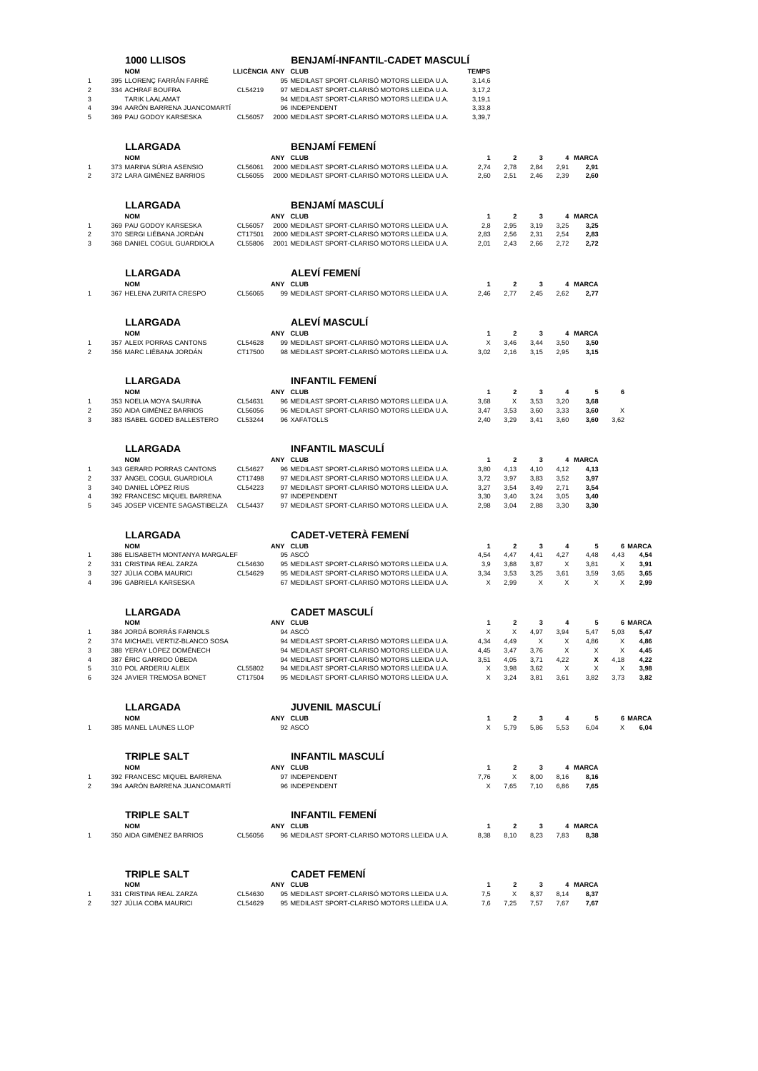|                                | <b>1000 LLISOS</b>                                            |                    | <b>BENJAMI-INFANTIL-CADET MASCULI</b>                                                            |                        |                                 |              |              |                 |        |                 |
|--------------------------------|---------------------------------------------------------------|--------------------|--------------------------------------------------------------------------------------------------|------------------------|---------------------------------|--------------|--------------|-----------------|--------|-----------------|
| $\mathbf{1}$                   | <b>NOM</b><br>395 LLORENC FARRAN FARRE                        | LLICÈNCIA ANY CLUB | 95 MEDILAST SPORT-CLARISÓ MOTORS LLEIDA U.A.                                                     | <b>TEMPS</b><br>3,14,6 |                                 |              |              |                 |        |                 |
| $\overline{2}$                 | 334 ACHRAF BOUFRA                                             | CL54219            | 97 MEDILAST SPORT-CLARISÓ MOTORS LLEIDA U.A.                                                     | 3,17,2                 |                                 |              |              |                 |        |                 |
| 3                              | <b>TARIK LAALAMAT</b>                                         |                    | 94 MEDILAST SPORT-CLARISÓ MOTORS LLEIDA U.A.                                                     | 3, 19, 1               |                                 |              |              |                 |        |                 |
| $\overline{4}$                 | 394 AARÓN BARRENA JUANCOMARTÍ                                 |                    | 96 INDEPENDENT                                                                                   | 3,33,8                 |                                 |              |              |                 |        |                 |
| 5                              | 369 PAU GODOY KARSESKA                                        | CL56057            | 2000 MEDILAST SPORT-CLARISÓ MOTORS LLEIDA U.A.                                                   | 3,39,7                 |                                 |              |              |                 |        |                 |
|                                | <b>LLARGADA</b>                                               |                    | <b>BENJAMÍ FEMENÍ</b>                                                                            |                        |                                 |              |              |                 |        |                 |
|                                | <b>NOM</b>                                                    |                    | ANY CLUB                                                                                         | $\mathbf{1}$           | $\overline{\mathbf{2}}$         | 3            |              | 4 MARCA         |        |                 |
| $\overline{1}$                 | 373 MARINA SÚRIA ASENSIO                                      | CL56061            | 2000 MEDILAST SPORT-CLARISÓ MOTORS LLEIDA U.A.                                                   | 2,74                   | 2,78                            | 2,84         | 2,91         | 2,91            |        |                 |
| $\overline{2}$                 | 372 LARA GIMÉNEZ BARRIOS                                      | CL56055            | 2000 MEDILAST SPORT-CLARISÓ MOTORS LLEIDA U.A.                                                   | 2,60                   | 2,51                            | 2,46         | 2,39         | 2,60            |        |                 |
|                                | <b>LLARGADA</b>                                               |                    | <b>BENJAMÍ MASCULÍ</b>                                                                           |                        |                                 |              |              |                 |        |                 |
|                                | <b>NOM</b>                                                    |                    | <b>ANY CLUB</b>                                                                                  | 1                      | $\overline{\mathbf{2}}$         | 3            |              | 4 MARCA         |        |                 |
| 1                              | 369 PAU GODOY KARSESKA                                        | CL56057            | 2000 MEDILAST SPORT-CLARISÓ MOTORS LLEIDA U.A.                                                   | 2,8                    | 2,95                            | 3,19         | 3,25         | 3,25            |        |                 |
| $\overline{2}$<br>3            | 370 SERGI LIEBANA JORDAN<br>368 DANIEL COGUL GUARDIOLA        | CT17501<br>CL55806 | 2000 MEDILAST SPORT-CLARISÓ MOTORS LLEIDA U.A.<br>2001 MEDILAST SPORT-CLARISÓ MOTORS LLEIDA U.A. | 2,83<br>2,01           | 2,56<br>2,43                    | 2,31<br>2,66 | 2,54<br>2,72 | 2,83<br>2,72    |        |                 |
|                                |                                                               |                    |                                                                                                  |                        |                                 |              |              |                 |        |                 |
|                                | <b>LLARGADA</b><br><b>NOM</b>                                 |                    | ALEVÍ FEMENÍ<br>ANY CLUB                                                                         | 1                      | 2                               | 3            |              | 4 MARCA         |        |                 |
| $\mathbf{1}$                   | 367 HELENA ZURITA CRESPO                                      | CL56065            | 99 MEDILAST SPORT-CLARISÓ MOTORS LLEIDA U.A.                                                     | 2,46                   | 2,77                            | 2,45         | 2,62         | 2,77            |        |                 |
|                                | <b>LLARGADA</b>                                               |                    | <b>ALEVÍ MASCULÍ</b>                                                                             |                        |                                 |              |              |                 |        |                 |
|                                | <b>NOM</b>                                                    |                    | ANY CLUB                                                                                         | 1                      | 2                               | 3            |              | 4 MARCA         |        |                 |
| $\mathbf{1}$                   | 357 ALEIX PORRAS CANTONS                                      | CL54628            | 99 MEDILAST SPORT-CLARISÓ MOTORS LLEIDA U.A.                                                     | X                      | 3,46                            | 3,44         | 3,50         | 3,50            |        |                 |
| $\overline{2}$                 | 356 MARC LIÉBANA JORDÁN                                       | CT17500            | 98 MEDILAST SPORT-CLARISÓ MOTORS LLEIDA U.A.                                                     | 3,02                   | 2,16                            | 3,15         | 2,95         | 3,15            |        |                 |
|                                | <b>LLARGADA</b>                                               |                    | <b>INFANTIL FEMENI</b>                                                                           |                        |                                 |              |              |                 |        |                 |
|                                | <b>NOM</b>                                                    |                    | ANY CLUB                                                                                         | $\mathbf{1}$           | $\overline{\mathbf{2}}$         | 3            | 4            | 5               | 6      |                 |
| $\mathbf{1}$                   | 353 NOELIA MOYA SAURINA                                       | CL54631            | 96 MEDILAST SPORT-CLARISÓ MOTORS LLEIDA U.A.                                                     | 3,68                   | X                               | 3,53         | 3,20         | 3,68            |        |                 |
| $\overline{2}$                 | 350 AIDA GIMÉNEZ BARRIOS<br>383 ISABEL GODED BALLESTERO       | CL56056            | 96 MEDILAST SPORT-CLARISÓ MOTORS LLEIDA U.A.                                                     | 3,47                   | 3,53                            | 3,60         | 3,33         | 3,60            | Х      |                 |
| 3                              |                                                               | CL53244            | 96 XAFATOLLS                                                                                     | 2,40                   | 3,29                            | 3,41         | 3,60         | 3,60            | 3,62   |                 |
|                                | <b>LLARGADA</b>                                               |                    | <b>INFANTIL MASCULI</b>                                                                          |                        |                                 |              |              |                 |        |                 |
|                                | <b>NOM</b>                                                    |                    | ANY CLUB                                                                                         | $\mathbf{1}$           | $\mathbf{2}$                    | 3            |              | 4 MARCA         |        |                 |
| -1<br>$\overline{2}$           | 343 GERARD PORRAS CANTONS<br>337 ANGEL COGUL GUARDIOLA        | CL54627<br>CT17498 | 96 MEDILAST SPORT-CLARISÓ MOTORS LLEIDA U.A.<br>97 MEDILAST SPORT-CLARISÓ MOTORS LLEIDA U.A.     | 3,80<br>3,72           | 4,13<br>3,97                    | 4,10<br>3,83 | 4,12<br>3,52 | 4,13<br>3,97    |        |                 |
| 3                              | 340 DANIEL LÓPEZ RIUS                                         | CL54223            | 97 MEDILAST SPORT-CLARISÓ MOTORS LLEIDA U.A.                                                     | 3,27                   | 3,54                            | 3,49         | 2,71         | 3,54            |        |                 |
| $\overline{4}$<br>5            | 392 FRANCESC MIQUEL BARRENA<br>345 JOSEP VICENTE SAGASTIBELZA | CL54437            | 97 INDEPENDENT<br>97 MEDILAST SPORT-CLARISÓ MOTORS LLEIDA U.A.                                   | 3,30<br>2,98           | 3,40<br>3,04                    | 3,24<br>2,88 | 3,05<br>3,30 | 3,40<br>3,30    |        |                 |
|                                |                                                               |                    |                                                                                                  |                        |                                 |              |              |                 |        |                 |
|                                | <b>LLARGADA</b>                                               |                    | <b>CADET-VETERÀ FEMENÍ</b>                                                                       |                        |                                 |              |              |                 |        |                 |
| -1                             | <b>NOM</b><br>386 ELISABETH MONTANYA MARGALEF                 |                    | ANY CLUB<br>95 ASCO                                                                              | $\mathbf{1}$<br>4,54   | $\overline{\mathbf{2}}$<br>4,47 | 3<br>4,41    | 4<br>4,27    | 5<br>4,48       | 4,43   | 6 MARCA<br>4,54 |
| $\overline{\mathbf{c}}$        | 331 CRISTINA REAL ZARZA                                       | CL54630            | 95 MEDILAST SPORT-CLARISÓ MOTORS LLEIDA U.A.                                                     | 3,9                    | 3,88                            | 3,87         | Х            | 3,81            | Х      | 3,91            |
| 3                              | 327 JÚLIA COBA MAURICI                                        | CL54629            | 95 MEDILAST SPORT-CLARISÓ MOTORS LLEIDA U.A.                                                     | 3,34                   | 3,53                            | 3,25         | 3,61         | 3,59            | 3,65   | 3,65            |
| $\overline{4}$                 | 396 GABRIELA KARSESKA                                         |                    | 67 MEDILAST SPORT-CLARISÓ MOTORS LLEIDA U.A.                                                     | X                      | 2,99                            | X            | Х            | Х               | X      | 2,99            |
|                                | <b>LLARGADA</b>                                               |                    | <b>CADET MASCULI</b>                                                                             |                        |                                 |              |              |                 |        |                 |
|                                | <b>NOM</b>                                                    |                    | ANY CLUB                                                                                         | 1                      | 2                               | 3            | 4            | 5               |        | <b>6 MARCA</b>  |
| $\mathbf{1}$                   | 384 JORDÁ BORRÁS FARNOLS<br>374 MICHAEL VERTIZ-BLANCO SOSA    |                    | 94 ASCO                                                                                          | $\times$               | X                               | 4,97         | 3,94         | 5,47            | 5,03   | 5,47            |
| $\overline{2}$<br>3            | 388 YERAY LÖPEZ DOMÉNECH                                      |                    | 94 MEDILAST SPORT-CLARISÓ MOTORS LLEIDA U.A.<br>94 MEDILAST SPORT-CLARISO MOTORS LLEIDA U.A.     | 4,34<br>4,45           | 4,49<br>3,47                    | Х<br>3,76    | X<br>Х       | 4,86<br>X       | X<br>X | 4,86<br>4,45    |
| $\overline{4}$                 | 387 ÉRIC GARRIDO ÚBEDA                                        |                    | 94 MEDILAST SPORT-CLARISÓ MOTORS LLEIDA U.A.                                                     | 3,51                   | 4,05                            | 3,71         | 4,22         | X               | 4,18   | 4,22            |
| 5                              | 310 POL ARDERIU ALEIX                                         | CL55802            | 94 MEDILAST SPORT-CLARISÓ MOTORS LLEIDA U.A.                                                     | X                      | 3,98                            | 3,62         | X            | Х               | X      | 3,98            |
| 6                              | 324 JAVIER TREMOSA BONET                                      | CT17504            | 95 MEDILAST SPORT-CLARISÓ MOTORS LLEIDA U.A.                                                     | X                      | 3,24                            | 3,81         | 3,61         | 3,82            | 3,73   | 3,82            |
|                                | <b>LLARGADA</b>                                               |                    | <b>JUVENIL MASCULÍ</b>                                                                           |                        |                                 |              |              |                 |        |                 |
|                                | <b>NOM</b>                                                    |                    | ANY CLUB                                                                                         | 1                      | $\overline{\mathbf{2}}$         | 3            | 4            | 5               |        | <b>6 MARCA</b>  |
| $\mathbf{1}$                   | 385 MANEL LAUNES LLOP                                         |                    | 92 ASCO                                                                                          | X                      | 5,79                            | 5,86         | 5,53         | 6,04            | X      | 6,04            |
|                                | <b>TRIPLE SALT</b>                                            |                    | <b>INFANTIL MASCULI</b>                                                                          |                        |                                 |              |              |                 |        |                 |
|                                | <b>NOM</b>                                                    |                    | ANY CLUB                                                                                         | $\mathbf{1}$           | $\overline{\mathbf{2}}$         | 3            |              | 4 MARCA         |        |                 |
| $\mathbf{1}$<br>$\overline{2}$ | 392 FRANCESC MIQUEL BARRENA                                   |                    | 97 INDEPENDENT                                                                                   | 7,76                   | X                               | 8,00         | 8,16         | 8,16            |        |                 |
|                                | 394 AARON BARRENA JUANCOMARTI                                 |                    | 96 INDEPENDENT                                                                                   | Х                      | 7,65                            | 7,10         | 6,86         | 7,65            |        |                 |
|                                | <b>TRIPLE SALT</b>                                            |                    | <b>INFANTIL FEMENI</b>                                                                           |                        |                                 |              |              |                 |        |                 |
|                                | <b>NOM</b>                                                    |                    | ANY CLUB                                                                                         | $\mathbf{1}$           | $\mathbf{2}$                    | 3            |              | 4 MARCA         |        |                 |
| 1                              | 350 AIDA GIMÉNEZ BARRIOS                                      | CL56056            | 96 MEDILAST SPORT-CLARISÓ MOTORS LLEIDA U.A.                                                     | 8,38                   | 8,10                            | 8,23         | 7,83         | 8,38            |        |                 |
|                                |                                                               |                    |                                                                                                  |                        |                                 |              |              |                 |        |                 |
|                                | <b>TRIPLE SALT</b>                                            |                    | <b>CADET FEMENI</b>                                                                              |                        |                                 |              |              |                 |        |                 |
| -1                             | <b>NOM</b><br>331 CRISTINA REAL ZARZA                         | CL54630            | ANY CLUB<br>95 MEDILAST SPORT-CLARISÓ MOTORS LLEIDA U.A.                                         | 1<br>7,5               | $\mathbf{2}$<br>X               | 3<br>8,37    | 8,14         | 4 MARCA<br>8,37 |        |                 |
| $\overline{2}$                 | 327 JÚLIA COBA MAURICI                                        | CL54629            | 95 MEDILAST SPORT-CLARISÓ MOTORS LLEIDA U.A.                                                     | 7,6                    | 7,25                            | 7,57         | 7,67         | 7,67            |        |                 |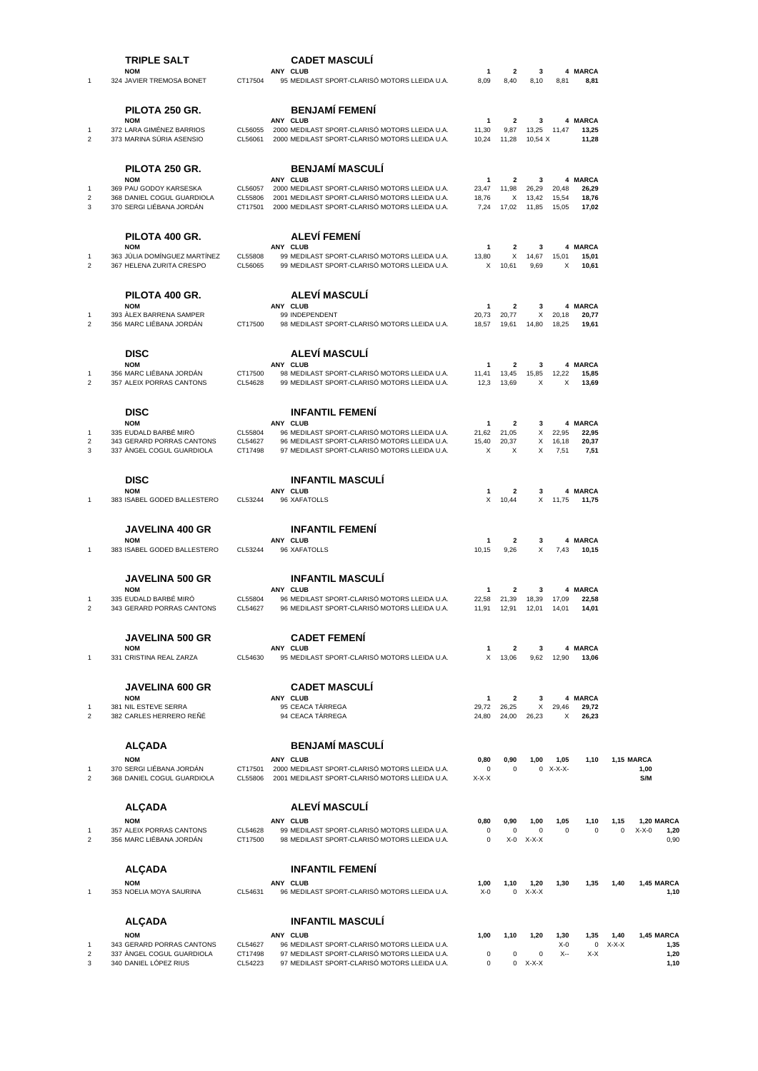|                                     | <b>TRIPLE SALT</b>                                                                            |                               | <b>CADET MASCULI</b>                                                                                                                                     |                                    |                                           |                                |                         |                           |                     |                                       |
|-------------------------------------|-----------------------------------------------------------------------------------------------|-------------------------------|----------------------------------------------------------------------------------------------------------------------------------------------------------|------------------------------------|-------------------------------------------|--------------------------------|-------------------------|---------------------------|---------------------|---------------------------------------|
| 1                                   | <b>NOM</b><br>324 JAVIER TREMOSA BONET                                                        | CT17504                       | <b>ANY CLUB</b><br>95 MEDILAST SPORT-CLARISÓ MOTORS LLEIDA U.A.                                                                                          | -1<br>8,09                         | 2<br>8,40                                 | 3<br>8,10                      | 8,81                    | 4 MARCA<br>8,81           |                     |                                       |
|                                     | PILOTA 250 GR.<br><b>NOM</b>                                                                  |                               | <b>BENJAMÍ FEMENÍ</b><br>ANY CLUB                                                                                                                        | 1                                  | $\mathbf{2}$                              | 3                              |                         | 4 MARCA                   |                     |                                       |
| 1<br>$\overline{2}$                 | 372 LARA GIMÉNEZ BARRIOS<br>373 MARINA SÚRIA ASENSIO                                          | CL56055<br>CL56061            | 2000 MEDILAST SPORT-CLARISÓ MOTORS LLEIDA U.A.<br>2000 MEDILAST SPORT-CLARISÓ MOTORS LLEIDA U.A.                                                         | 11,30<br>10,24                     | 9,87<br>11,28                             | 13,25<br>10,54 X               | 11,47                   | 13,25<br>11,28            |                     |                                       |
|                                     | PILOTA 250 GR.<br><b>NOM</b>                                                                  |                               | <b>BENJAMÍ MASCULÍ</b><br>ANY CLUB                                                                                                                       | 1                                  | 2                                         | 3                              |                         | 4 MARCA                   |                     |                                       |
| $\mathbf{1}$<br>$\overline{2}$<br>3 | 369 PAU GODOY KARSESKA<br>368 DANIEL COGUL GUARDIOLA<br>370 SERGI LIÉBANA JORDÁN              | CL56057<br>CL55806<br>CT17501 | 2000 MEDILAST SPORT-CLARISÓ MOTORS LLEIDA U.A.<br>2001 MEDILAST SPORT-CLARISÓ MOTORS LLEIDA U.A.<br>2000 MEDILAST SPORT-CLARISÓ MOTORS LLEIDA U.A.       | 23,47<br>18,76<br>7,24             | 11,98<br>X<br>17,02                       | 26,29<br>13,42<br>11,85        | 20,48<br>15,54<br>15,05 | 26,29<br>18,76<br>17,02   |                     |                                       |
|                                     | PILOTA 400 GR.                                                                                |                               | <b>ALEVÍ FEMENÍ</b>                                                                                                                                      |                                    |                                           |                                |                         |                           |                     |                                       |
| -1<br>$\overline{c}$                | <b>NOM</b><br>363 JULIA DOMINGUEZ MARTINEZ<br>367 HELENA ZURITA CRESPO                        | CL55808<br>CL56065            | ANY CLUB<br>99 MEDILAST SPORT-CLARISÓ MOTORS LLEIDA U.A.<br>99 MEDILAST SPORT-CLARISÓ MOTORS LLEIDA U.A.                                                 | 1<br>13,80<br>х                    | 2<br>Χ<br>10,61                           | 3<br>14,67<br>9,69             | 15,01<br>х              | 4 MARCA<br>15,01<br>10,61 |                     |                                       |
|                                     | PILOTA 400 GR.<br><b>NOM</b>                                                                  |                               | <b>ALEVÍ MASCULÍ</b><br>ANY CLUB                                                                                                                         | 1                                  | 2                                         | 3                              |                         | <b>4 MARCA</b>            |                     |                                       |
| -1<br>$\overline{2}$                | 393 ALEX BARRENA SAMPER<br>356 MARC LIÉBANA JORDÁN                                            | CT17500                       | 99 INDEPENDENT<br>98 MEDILAST SPORT-CLARISÓ MOTORS LLEIDA U.A.                                                                                           | 20,73<br>18,57                     | 20,77<br>19,61                            | X<br>14,80                     | 20,18<br>18,25          | 20,77<br>19,61            |                     |                                       |
|                                     | <b>DISC</b><br><b>NOM</b>                                                                     |                               | <b>ALEVÍ MASCULÍ</b><br>ANY CLUB                                                                                                                         | 1                                  | $\mathbf{2}$                              | 3                              |                         | 4 MARCA                   |                     |                                       |
| $\mathbf{1}$<br>$\overline{2}$      | 356 MARC LIÉBANA JORDÁN<br>357 ALEIX PORRAS CANTONS                                           | CT17500<br>CL54628            | 98 MEDILAST SPORT-CLARISÓ MOTORS LLEIDA U.A.<br>99 MEDILAST SPORT-CLARISÓ MOTORS LLEIDA U.A.                                                             | 11,41<br>12,3                      | 13,45<br>13,69                            | 15,85<br>X                     | 12,22<br>х              | 15,85<br>13,69            |                     |                                       |
|                                     | <b>DISC</b><br><b>NOM</b>                                                                     |                               | <b>INFANTIL FEMENI</b><br>ANY CLUB                                                                                                                       | 1                                  | 2                                         | 3                              |                         | 4 MARCA                   |                     |                                       |
| 1<br>$\overline{\mathbf{c}}$<br>3   | 335 EUDALD BARBÉ MIRÓ<br>343 GERARD PORRAS CANTONS<br>337 ANGEL COGUL GUARDIOLA               | CL55804<br>CL54627<br>CT17498 | 96 MEDILAST SPORT-CLARISÓ MOTORS LLEIDA U.A.<br>96 MEDILAST SPORT-CLARISÓ MOTORS LLEIDA U.A.<br>97 MEDILAST SPORT-CLARISÓ MOTORS LLEIDA U.A.             | 21,62<br>15,40<br>X                | 21,05<br>20,37<br>X                       | Х<br>х<br>X                    | 22,95<br>16,18<br>7,51  | 22,95<br>20,37<br>7,51    |                     |                                       |
|                                     | <b>DISC</b><br><b>NOM</b>                                                                     |                               | <b>INFANTIL MASCULI</b><br>ANY CLUB                                                                                                                      | 1                                  | 2                                         | 3                              |                         | 4 MARCA                   |                     |                                       |
| 1                                   | 383 ISABEL GODED BALLESTERO                                                                   | CL53244                       | 96 XAFATOLLS                                                                                                                                             | Х                                  | 10,44                                     | X                              | 11,75                   | 11,75                     |                     |                                       |
| 1                                   | <b>JAVELINA 400 GR</b><br><b>NOM</b><br>383 ISABEL GODED BALLESTERO                           | CL53244                       | <b>INFANTIL FEMENÍ</b><br>ANY CLUB<br>96 XAFATOLLS                                                                                                       | 1<br>10,15                         | 2<br>9,26                                 | 3<br>X                         | 7,43                    | <b>4 MARCA</b><br>10,15   |                     |                                       |
|                                     | <b>JAVELINA 500 GR</b><br><b>NOM</b>                                                          |                               | <b>INFANTIL MASCULI</b><br>ANY CLUB                                                                                                                      |                                    |                                           |                                |                         |                           |                     |                                       |
| -1<br>$\overline{2}$                | 335 EUDALD BARBÉ MIRÓ<br>343 GERARD PORRAS CANTONS                                            | CL55804<br>CL54627            | 96 MEDILAST SPORT-CLARISÓ MOTORS LLEIDA U.A.<br>96 MEDILAST SPORT-CLARISÓ MOTORS LLEIDA U.A.                                                             | 1<br>22,58<br>11,91                | $\overline{\mathbf{c}}$<br>21,39<br>12,91 | 3<br>18,39<br>12,01            | 17,09<br>14,01          | 4 MARCA<br>22,58<br>14,01 |                     |                                       |
|                                     | <b>JAVELINA 500 GR</b><br><b>NOM</b>                                                          |                               | <b>CADET FEMENI</b><br>ANY CLUB                                                                                                                          | 1                                  | $\mathbf{2}$                              | 3                              |                         | 4 MARCA                   |                     |                                       |
| 1                                   | 331 CRISTINA REAL ZARZA                                                                       | CL54630                       | 95 MEDILAST SPORT-CLARISÓ MOTORS LLEIDA U.A.                                                                                                             | X                                  | 13,06                                     | 9,62                           | 12,90                   | 13,06                     |                     |                                       |
|                                     | <b>JAVELINA 600 GR</b><br><b>NOM</b>                                                          |                               | <b>CADET MASCULI</b><br><b>ANY CLUB</b>                                                                                                                  | 1                                  | $\mathbf{2}$                              | 3                              |                         | 4 MARCA                   |                     |                                       |
| $\mathbf{1}$<br>$\overline{c}$      | 381 NIL ESTEVE SERRA<br>382 CARLES HERRERO REÑÉ                                               |                               | 95 CEACA TÁRREGA<br>94 CEACA TÀRREGA                                                                                                                     | 29,72<br>24,80                     | 26,25<br>24,00                            | Х<br>26,23                     | 29,46<br>х              | 29,72<br>26,23            |                     |                                       |
|                                     | <b>ALÇADA</b><br><b>NOM</b>                                                                   |                               | <b>BENJAMÍ MASCULÍ</b><br>ANY CLUB                                                                                                                       | 0,80                               | 0,90                                      | 1,00                           | 1,05                    | 1,10                      |                     | 1,15 MARCA                            |
| $\mathbf{1}$<br>$\overline{c}$      | 370 SERGI LIÉBANA JORDÁN<br>368 DANIEL COGUL GUARDIOLA                                        | CT17501<br>CL55806            | 2000 MEDILAST SPORT-CLARISÓ MOTORS LLEIDA U.A.<br>2001 MEDILAST SPORT-CLARISÓ MOTORS LLEIDA U.A.                                                         | $\mathbf 0$<br>$X-X-X$             | $\mathbf 0$                               |                                | $0$ X-X-X-              |                           |                     | 1,00<br>S/M                           |
|                                     | <b>ALÇADA</b>                                                                                 |                               | <b>ALEVÍ MASCULÍ</b>                                                                                                                                     |                                    |                                           |                                |                         |                           |                     |                                       |
| 1<br>$\overline{c}$                 | <b>NOM</b><br>357 ALEIX PORRAS CANTONS<br>356 MARC LIÉBANA JORDÁN                             | CL54628<br>CT17500            | ANY CLUB<br>99 MEDILAST SPORT-CLARISÓ MOTORS LLEIDA U.A.<br>98 MEDILAST SPORT-CLARISÓ MOTORS LLEIDA U.A.                                                 | 0,80<br>$\mathbf 0$<br>$\mathbf 0$ | 0,90<br>0<br>$X-0$                        | 1,00<br>0<br>$X-X-X$           | 1,05<br>$\mathbf 0$     | 1,10<br>0                 | 1,15<br>$\mathbf 0$ | 1,20 MARCA<br>$X-X-0$<br>1,20<br>0,90 |
|                                     | <b>ALÇADA</b>                                                                                 |                               | <b>INFANTIL FEMENI</b>                                                                                                                                   |                                    |                                           |                                |                         |                           |                     |                                       |
| $\mathbf{1}$                        | <b>NOM</b><br>353 NOELIA MOYA SAURINA                                                         | CL54631                       | ANY CLUB<br>96 MEDILAST SPORT-CLARISÓ MOTORS LLEIDA U.A.                                                                                                 | 1,00<br>$X-0$                      | 1,10<br>0                                 | 1,20<br>$X-X-X$                | 1,30                    | 1,35                      | 1,40                | 1,45 MARCA<br>1,10                    |
|                                     | <b>ALÇADA</b>                                                                                 |                               | <b>INFANTIL MASCULÍ</b>                                                                                                                                  |                                    |                                           |                                |                         |                           |                     |                                       |
| -1<br>$\overline{2}$<br>3           | <b>NOM</b><br>343 GERARD PORRAS CANTONS<br>337 ANGEL COGUL GUARDIOLA<br>340 DANIEL LÓPEZ RIUS | CL54627<br>CT17498<br>CL54223 | ANY CLUB<br>96 MEDILAST SPORT-CLARISÓ MOTORS LLEIDA U.A.<br>97 MEDILAST SPORT-CLARISÓ MOTORS LLEIDA U.A.<br>97 MEDILAST SPORT-CLARISÓ MOTORS LLEIDA U.A. | 1,00<br>$\mathbf 0$<br>$\mathbf 0$ | 1,10<br>0<br>0                            | 1,20<br>$\mathbf 0$<br>$X-X-X$ | 1,30<br>$X-0$<br>X--    | 1,35<br>0<br>X-X          | 1,40<br>$X-X-X$     | 1,45 MARCA<br>1,35<br>1,20<br>1,10    |
|                                     |                                                                                               |                               |                                                                                                                                                          |                                    |                                           |                                |                         |                           |                     |                                       |